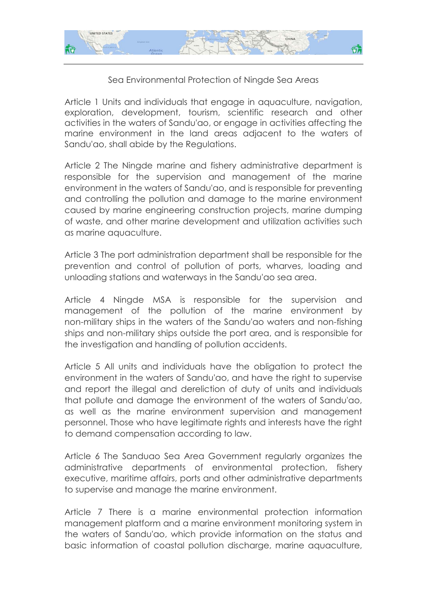

## Sea Environmental Protection of Ningde Sea Areas

Article 1 Units and individuals that engage in aquaculture, navigation, exploration, development, tourism, scientific research and other activities in the waters of Sandu'ao, or engage in activities affecting the marine environment in the land areas adjacent to the waters of Sandu'ao, shall abide by the Regulations.

Article 2 The Ningde marine and fishery administrative department is responsible for the supervision and management of the marine environment in the waters of Sandu'ao, and is responsible for preventing and controlling the pollution and damage to the marine environment caused by marine engineering construction projects, marine dumping of waste, and other marine development and utilization activities such as marine aquaculture.

Article 3 The port administration department shall be responsible for the prevention and control of pollution of ports, wharves, loading and unloading stations and waterways in the Sandu'ao sea area.

Article 4 Ningde MSA is responsible for the supervision and management of the pollution of the marine environment by non-military ships in the waters of the Sandu'ao waters and non-fishing ships and non-military ships outside the port area, and is responsible for the investigation and handling of pollution accidents.

Article 5 All units and individuals have the obligation to protect the environment in the waters of Sandu'ao, and have the right to supervise and report the illegal and dereliction of duty of units and individuals that pollute and damage the environment of the waters of Sandu'ao, as well as the marine environment supervision and management personnel. Those who have legitimate rights and interests have the right to demand compensation according to law.

Article 6 The Sanduao Sea Area Government regularly organizes the administrative departments of environmental protection, fishery executive, maritime affairs, ports and other administrative departments to supervise and manage the marine environment.

Article 7 There is a marine environmental protection information management platform and a marine environment monitoring system in the waters of Sandu'ao, which provide information on the status and basic information of coastal pollution discharge, marine aquaculture,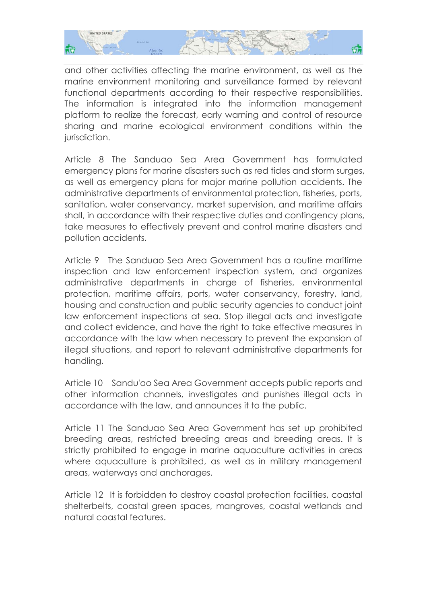

and other activities affecting the marine environment, as well as the marine environment monitoring and surveillance formed by relevant functional departments according to their respective responsibilities. The information is integrated into the information management platform to realize the forecast, early warning and control of resource sharing and marine ecological environment conditions within the jurisdiction.

Article 8 The Sanduao Sea Area Government has formulated emergency plans for marine disasters such as red tides and storm surges, as well as emergency plans for major marine pollution accidents. The administrative departments of environmental protection, fisheries, ports, sanitation, water conservancy, market supervision, and maritime affairs shall, in accordance with their respective duties and contingency plans, take measures to effectively prevent and control marine disasters and pollution accidents.

Article 9 The Sanduao Sea Area Government has a routine maritime inspection and law enforcement inspection system, and organizes administrative departments in charge of fisheries, environmental protection, maritime affairs, ports, water conservancy, forestry, land, housing and construction and public security agencies to conduct joint law enforcement inspections at sea. Stop illegal acts and investigate and collect evidence, and have the right to take effective measures in accordance with the law when necessary to prevent the expansion of illegal situations, and report to relevant administrative departments for handling.

Article 10 Sandu'ao Sea Area Government accepts public reports and other information channels, investigates and punishes illegal acts in accordance with the law, and announces it to the public.

Article 11 The Sanduao Sea Area Government has set up prohibited breeding areas, restricted breeding areas and breeding areas. It is strictly prohibited to engage in marine aquaculture activities in areas where aquaculture is prohibited, as well as in military management areas, waterways and anchorages.

Article 12 It is forbidden to destroy coastal protection facilities, coastal shelterbelts, coastal green spaces, mangroves, coastal wetlands and natural coastal features.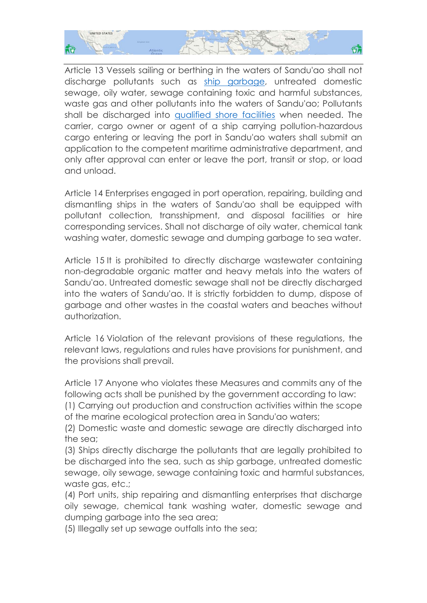

Article 13 Vessels sailing or berthing in the waters of Sandu'ao shall not discharge pollutants such as [ship garbage,](http://www.shorefacility.com/garbage.pdf) untreated domestic sewage, oily water, sewage containing toxic and harmful substances, waste gas and other pollutants into the waters of Sandu'ao; Pollutants shall be discharged into [qualified shore](http://www.shorefacility.com/sludge.pdf) facilities when needed. The carrier, cargo owner or agent of a ship carrying pollution-hazardous cargo entering or leaving the port in Sandu'ao waters shall submit an application to the competent maritime administrative department, and only after approval can enter or leave the port, transit or stop, or load and unload.

Article 14 Enterprises engaged in port operation, repairing, building and dismantling ships in the waters of Sandu'ao shall be equipped with pollutant collection, transshipment, and disposal facilities or hire corresponding services. Shall not discharge of oily water, chemical tank washing water, domestic sewage and dumping garbage to sea water.

Article 15 It is prohibited to directly discharge wastewater containing non-degradable organic matter and heavy metals into the waters of Sandu'ao. Untreated domestic sewage shall not be directly discharged into the waters of Sandu'ao. It is strictly forbidden to dump, dispose of garbage and other wastes in the coastal waters and beaches without authorization.

Article 16 Violation of the relevant provisions of these regulations, the relevant laws, regulations and rules have provisions for punishment, and the provisions shall prevail.

Article 17 Anyone who violates these Measures and commits any of the following acts shall be punished by the government according to law:

(1) Carrying out production and construction activities within the scope of the marine ecological protection area in Sandu'ao waters;

(2) Domestic waste and domestic sewage are directly discharged into the sea;

(3) Ships directly discharge the pollutants that are legally prohibited to be discharged into the sea, such as ship garbage, untreated domestic sewage, oily sewage, sewage containing toxic and harmful substances, waste gas, etc.;

(4) Port units, ship repairing and dismantling enterprises that discharge oily sewage, chemical tank washing water, domestic sewage and dumping garbage into the sea area;

(5) Illegally set up sewage outfalls into the sea;